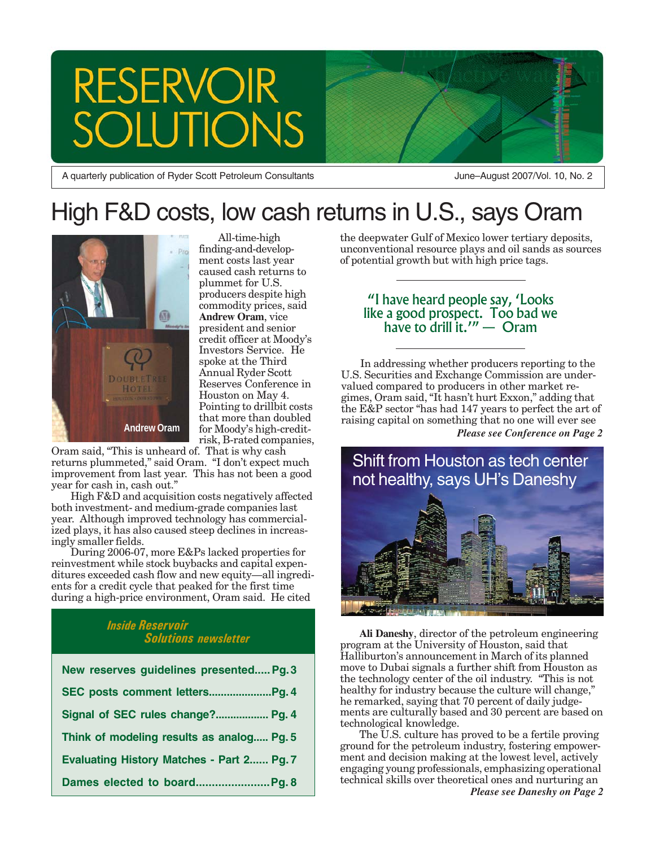# **RESERVOIR TONS**

A quarterly publication of Ryder Scott Petroleum Consultants

June–August 2007/Vol. 10, No. 2

# High F&D costs, low cash returns in U.S., says Oram



All-time-high finding-and-development costs last year caused cash returns to plummet for U.S. producers despite high commodity prices, said **Andrew Oram**, vice president and senior credit officer at Moody's Investors Service. He spoke at the Third Annual Ryder Scott Reserves Conference in Houston on May 4. Pointing to drillbit costs that more than doubled for Moody's high-creditrisk, B-rated companies,

Oram said, "This is unheard of. That is why cash returns plummeted," said Oram. "I don't expect much

improvement from last year. This has not been a good year for cash in, cash out." High F&D and acquisition costs negatively affected

both investment- and medium-grade companies last year. Although improved technology has commercialized plays, it has also caused steep declines in increasingly smaller fields.

During 2006-07, more E&Ps lacked properties for reinvestment while stock buybacks and capital expenditures exceeded cash flow and new equity—all ingredients for a credit cycle that peaked for the first time during a high-price environment, Oram said. He cited

#### *Inside Reservoir Solutions newsletter*

| New reserves guidelines presented Pg. 3          |
|--------------------------------------------------|
|                                                  |
| Signal of SEC rules change? Pg. 4                |
| Think of modeling results as analog Pg. 5        |
| <b>Evaluating History Matches - Part 2 Pg. 7</b> |
|                                                  |

the deepwater Gulf of Mexico lower tertiary deposits, unconventional resource plays and oil sands as sources of potential growth but with high price tags.

#### "I have heard people say, 'Looks like a good prospect. Too bad we have to drill it.'" — Oram

**Andrew Oram** *Please see Conference on Page 2* In addressing whether producers reporting to the U.S. Securities and Exchange Commission are undervalued compared to producers in other market regimes, Oram said, "It hasn't hurt Exxon," adding that the E&P sector "has had 147 years to perfect the art of raising capital on something that no one will ever see



**Ali Daneshy**, director of the petroleum engineering program at the University of Houston, said that Halliburton's announcement in March of its planned move to Dubai signals a further shift from Houston as the technology center of the oil industry. "This is not healthy for industry because the culture will change," he remarked, saying that 70 percent of daily judgements are culturally based and 30 percent are based on technological knowledge.

The U.S. culture has proved to be a fertile proving ground for the petroleum industry, fostering empowerment and decision making at the lowest level, actively engaging young professionals, emphasizing operational technical skills over theoretical ones and nurturing an *Please see Daneshy on Page 2*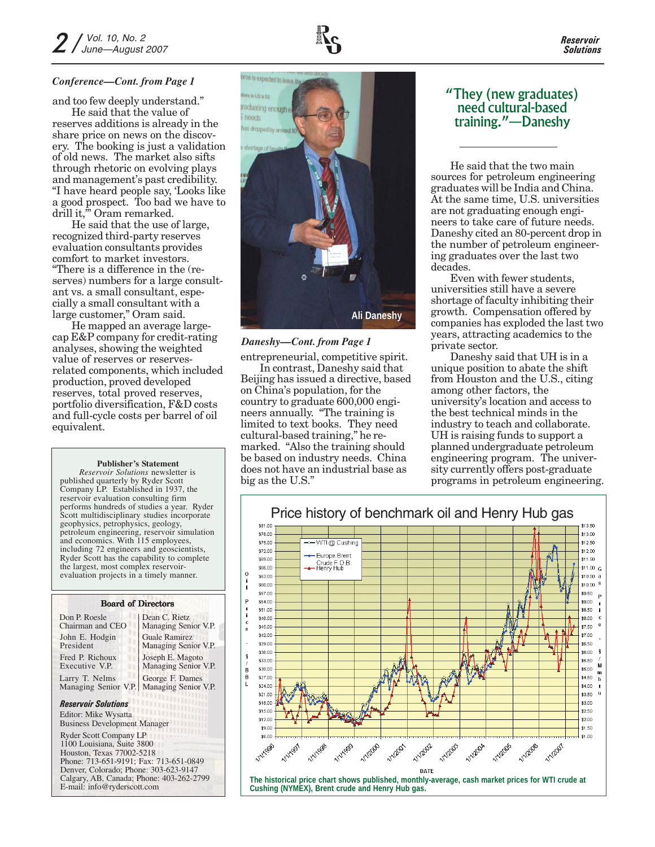

#### *Conference—Cont. from Page 1*

and too few deeply understand."

He said that the value of reserves additions is already in the share price on news on the discovery. The booking is just a validation of old news. The market also sifts through rhetoric on evolving plays and management's past credibility. "I have heard people say, 'Looks like a good prospect. Too bad we have to drill it," Oram remarked.

He said that the use of large, recognized third-party reserves evaluation consultants provides comfort to market investors. "There is a difference in the (reserves) numbers for a large consultant vs. a small consultant, especially a small consultant with a large customer," Oram said.

He mapped an average largecap E&P company for credit-rating analyses, showing the weighted value of reserves or reservesrelated components, which included production, proved developed reserves, total proved reserves, portfolio diversification, F&D costs and full-cycle costs per barrel of oil equivalent.

#### **Publisher's Statement**

*Reservoir Solutions* newsletter is published quarterly by Ryder Scott Company LP. Established in 1937, the reservoir evaluation consulting firm performs hundreds of studies a year. Ryder Scott multidisciplinary studies incorporate geophysics, petrophysics, geology, petroleum engineering, reservoir simulation and economics. With 115 employees, including 72 engineers and geoscientists, Ryder Scott has the capability to complete the largest, most complex reservoirevaluation projects in a timely manner.

#### Board of Directors

| Don P. Roesle        | Dean C. Rietz        |
|----------------------|----------------------|
| Chairman and CEO     | Managing Senior V.P. |
| John E. Hodgin       | <b>Guale Ramirez</b> |
| President            | Managing Senior V.P. |
| Fred P. Richoux      | Joseph E. Magoto     |
| Executive V.P.       | Managing Senior V.P. |
| Larry T. Nelms       | George F. Dames      |
| Managing Senior V.P. | Managing Senior V.P. |

#### *Reservoir Solutions*

Editor: Mike Wysatta Business Development Manager

Ryder Scott Company LP 1100 Louisiana, Suite 3800 Houston, Texas 77002-5218 Phone: 713-651-9191; Fax: 713-651-0849 Denver, Colorado; Phone: 303-623-9147 Calgary, AB, Canada; Phone: 403-262-2799 E-mail: info@ryderscott.com



#### *Daneshy—Cont. from Page 1*

entrepreneurial, competitive spirit.

**Ali Daneshy**

In contrast, Daneshy said that Beijing has issued a directive, based on China's population, for the country to graduate 600,000 engineers annually. "The training is limited to text books. They need cultural-based training," he remarked. "Also the training should be based on industry needs. China does not have an industrial base as big as the U.S."

#### "They (new graduates) need cultural-based training."—Daneshy

He said that the two main sources for petroleum engineering graduates will be India and China. At the same time, U.S. universities are not graduating enough engineers to take care of future needs. Daneshy cited an 80-percent drop in the number of petroleum engineering graduates over the last two decades.

Even with fewer students, universities still have a severe shortage of faculty inhibiting their growth. Compensation offered by companies has exploded the last two years, attracting academics to the private sector.

Daneshy said that UH is in a unique position to abate the shift from Houston and the U.S., citing among other factors, the university's location and access to the best technical minds in the industry to teach and collaborate. UH is raising funds to support a planned undergraduate petroleum engineering program. The university currently offers post-graduate programs in petroleum engineering.



*Reservoir Solutions*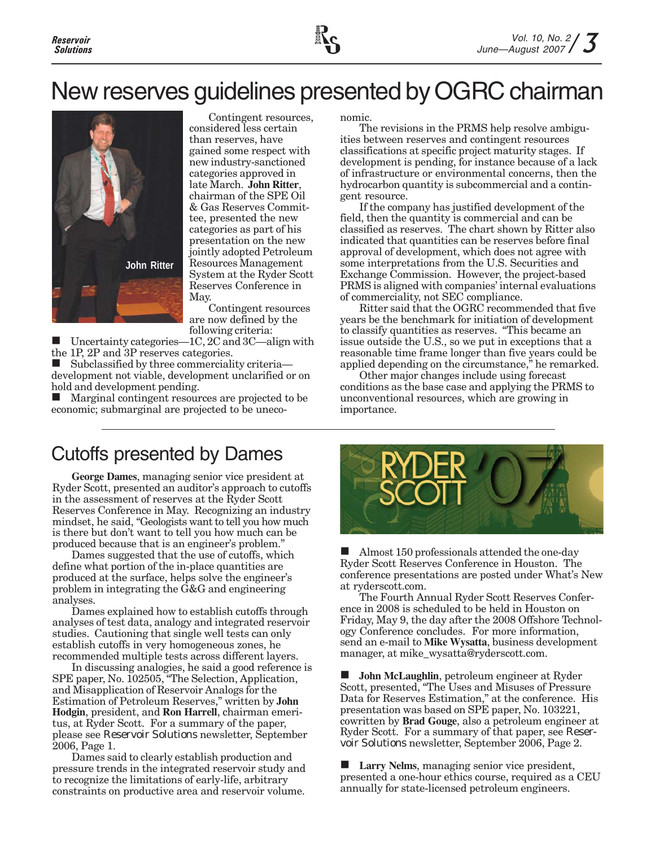# New reserves guidelines presented by OGRC chairman



Contingent resources, considered less certain than reserves, have gained some respect with new industry-sanctioned categories approved in late March. **John Ritter**, chairman of the SPE Oil & Gas Reserves Committee, presented the new categories as part of his presentation on the new jointly adopted Petroleum Resources Management System at the Ryder Scott Reserves Conference in May.

Contingent resources are now defined by the following criteria:

 Uncertainty categories—1C, 2C and 3C—align with the 1P, 2P and 3P reserves categories.

 Subclassified by three commerciality criteria development not viable, development unclarified or on hold and development pending.

 Marginal contingent resources are projected to be economic; submarginal are projected to be uneconomic.

The revisions in the PRMS help resolve ambiguities between reserves and contingent resources classifications at specific project maturity stages. If development is pending, for instance because of a lack of infrastructure or environmental concerns, then the hydrocarbon quantity is subcommercial and a contingent resource.

If the company has justified development of the field, then the quantity is commercial and can be classified as reserves. The chart shown by Ritter also indicated that quantities can be reserves before final approval of development, which does not agree with some interpretations from the U.S. Securities and Exchange Commission. However, the project-based PRMS is aligned with companies' internal evaluations of commerciality, not SEC compliance.

Ritter said that the OGRC recommended that five years be the benchmark for initiation of development to classify quantities as reserves. "This became an issue outside the U.S., so we put in exceptions that a reasonable time frame longer than five years could be applied depending on the circumstance," he remarked.

Other major changes include using forecast conditions as the base case and applying the PRMS to unconventional resources, which are growing in importance.

### Cutoffs presented by Dames

**George Dames**, managing senior vice president at Ryder Scott, presented an auditor's approach to cutoffs in the assessment of reserves at the Ryder Scott Reserves Conference in May. Recognizing an industry mindset, he said, "Geologists want to tell you how much is there but don't want to tell you how much can be produced because that is an engineer's problem."

Dames suggested that the use of cutoffs, which define what portion of the in-place quantities are produced at the surface, helps solve the engineer's problem in integrating the G&G and engineering analyses.

Dames explained how to establish cutoffs through analyses of test data, analogy and integrated reservoir studies. Cautioning that single well tests can only establish cutoffs in very homogeneous zones, he recommended multiple tests across different layers.

In discussing analogies, he said a good reference is SPE paper, No. 102505, "The Selection, Application, and Misapplication of Reservoir Analogs for the Estimation of Petroleum Reserves," written by **John Hodgin**, president, and **Ron Harrell**, chairman emeritus, at Ryder Scott. For a summary of the paper, please see *Reservoir Solutions* newsletter, September 2006, Page 1.

Dames said to clearly establish production and pressure trends in the integrated reservoir study and to recognize the limitations of early-life, arbitrary constraints on productive area and reservoir volume.



 $\blacksquare$  Almost 150 professionals attended the one-day Ryder Scott Reserves Conference in Houston. The conference presentations are posted under What's New at ryderscott.com.

The Fourth Annual Ryder Scott Reserves Conference in 2008 is scheduled to be held in Houston on Friday, May 9, the day after the 2008 Offshore Technology Conference concludes. For more information, send an e-mail to **Mike Wysatta**, business development manager, at mike\_wysatta@ryderscott.com.

 **John McLaughlin**, petroleum engineer at Ryder Scott, presented, "The Uses and Misuses of Pressure Data for Reserves Estimation," at the conference. His presentation was based on SPE paper, No. 103221, cowritten by **Brad Gouge**, also a petroleum engineer at Ryder Scott. For a summary of that paper, see *Reservoir Solutions* newsletter, September 2006, Page 2.

 **Larry Nelms**, managing senior vice president, presented a one-hour ethics course, required as a CEU annually for state-licensed petroleum engineers.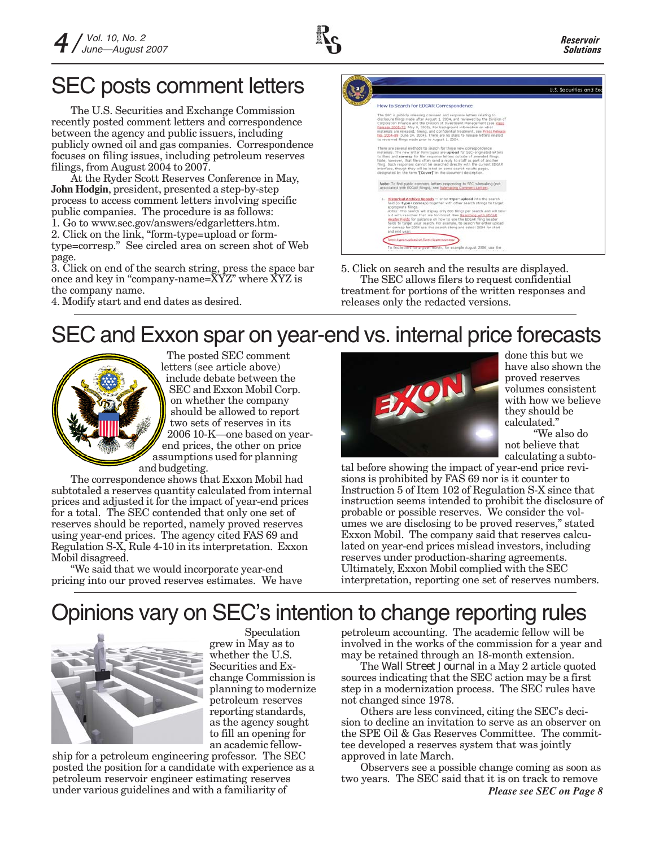## SEC posts comment letters

The U.S. Securities and Exchange Commission recently posted comment letters and correspondence between the agency and public issuers, including publicly owned oil and gas companies. Correspondence focuses on filing issues, including petroleum reserves filings, from August 2004 to 2007.

At the Ryder Scott Reserves Conference in May, **John Hodgin**, president, presented a step-by-step process to access comment letters involving specific public companies. The procedure is as follows: 1. Go to www.sec.gov/answers/edgarletters.htm. 2. Click on the link, "form-type=upload or formtype=corresp." See circled area on screen shot of Web page.

3. Click on end of the search string, press the space bar once and key in "company-name=XYZ" where XYZ is the company name.



5. Click on search and the results are displayed. The SEC allows filers to request confidential treatment for portions of the written responses and releases only the redacted versions.

#### 4. Modify start and end dates as desired.

### SEC and Exxon spar on year-end vs. internal price forecasts



The posted SEC comment letters (see article above) include debate between the SEC and Exxon Mobil Corp. on whether the company should be allowed to report two sets of reserves in its 2006 10-K—one based on yearend prices, the other on price assumptions used for planning and budgeting.

The correspondence shows that Exxon Mobil had subtotaled a reserves quantity calculated from internal prices and adjusted it for the impact of year-end prices for a total. The SEC contended that only one set of reserves should be reported, namely proved reserves using year-end prices. The agency cited FAS 69 and Regulation S-X, Rule 4-10 in its interpretation. Exxon Mobil disagreed.

"We said that we would incorporate year-end pricing into our proved reserves estimates. We have



done this but we have also shown the proved reserves volumes consistent with how we believe they should be calculated."

"We also do not believe that calculating a subto-

tal before showing the impact of year-end price revisions is prohibited by FAS 69 nor is it counter to Instruction 5 of Item 102 of Regulation S-X since that instruction seems intended to prohibit the disclosure of probable or possible reserves. We consider the volumes we are disclosing to be proved reserves," stated Exxon Mobil. The company said that reserves calculated on year-end prices mislead investors, including reserves under production-sharing agreements. Ultimately, Exxon Mobil complied with the SEC interpretation, reporting one set of reserves numbers.

# Opinions vary on SEC's intention to change reporting rules



Speculation grew in May as to whether the U.S. Securities and Exchange Commission is planning to modernize petroleum reserves reporting standards, as the agency sought to fill an opening for an academic fellow-

ship for a petroleum engineering professor. The SEC posted the position for a candidate with experience as a petroleum reservoir engineer estimating reserves under various guidelines and with a familiarity of

petroleum accounting. The academic fellow will be involved in the works of the commission for a year and may be retained through an 18-month extension.

The *Wall Street Journal* in a May 2 article quoted sources indicating that the SEC action may be a first step in a modernization process. The SEC rules have not changed since 1978.

Others are less convinced, citing the SEC's decision to decline an invitation to serve as an observer on the SPE Oil & Gas Reserves Committee. The committee developed a reserves system that was jointly approved in late March.

Observers see a possible change coming as soon as two years. The SEC said that it is on track to remove *Please see SEC on Page 8*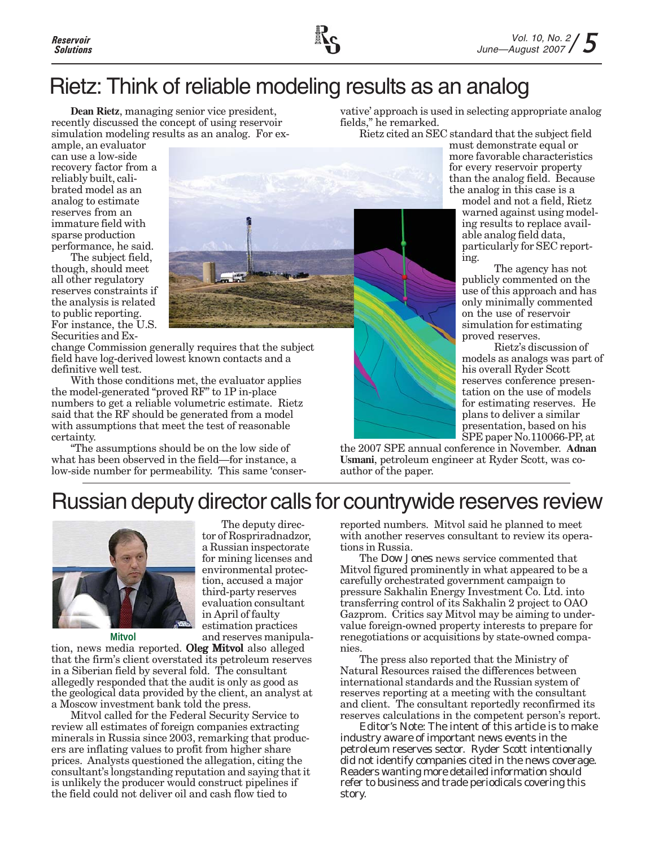

### Rietz: Think of reliable modeling results as an analog

**Dean Rietz**, managing senior vice president, recently discussed the concept of using reservoir simulation modeling results as an analog. For exvative' approach is used in selecting appropriate analog fields," he remarked.

must demonstrate equal or

ample, an evaluator can use a low-side recovery factor from a reliably built, calibrated model as an analog to estimate reserves from an immature field with sparse production performance, he said.

The subject field, though, should meet all other regulatory reserves constraints if the analysis is related to public reporting. For instance, the U.S. Securities and Ex-

change Commission generally requires that the subject field have log-derived lowest known contacts and a definitive well test.

With those conditions met, the evaluator applies the model-generated "proved RF" to 1P in-place numbers to get a reliable volumetric estimate. Rietz said that the RF should be generated from a model with assumptions that meet the test of reasonable certainty.

"The assumptions should be on the low side of what has been observed in the field—for instance, a low-side number for permeability. This same 'conser-



Rietz cited an SEC standard that the subject field

more favorable characteristics for every reservoir property than the analog field. Because the analog in this case is a

model and not a field, Rietz warned against using modeling results to replace available analog field data, particularly for SEC reporting.

The agency has not publicly commented on the use of this approach and has only minimally commented on the use of reservoir simulation for estimating proved reserves.

Rietz's discussion of models as analogs was part of his overall Ryder Scott reserves conference presentation on the use of models for estimating reserves. He plans to deliver a similar presentation, based on his SPE paper No.110066-PP, at

the 2007 SPE annual conference in November. **Adnan Usmani**, petroleum engineer at Ryder Scott, was coauthor of the paper.

### Russian deputy director calls for countrywide reserves review



The deputy director of Rospriradnadzor, a Russian inspectorate for mining licenses and environmental protection, accused a major third-party reserves evaluation consultant in April of faulty estimation practices and reserves manipula-

tion, news media reported. Oleg Mitvol also alleged **Mitvol**

that the firm's client overstated its petroleum reserves in a Siberian field by several fold. The consultant allegedly responded that the audit is only as good as the geological data provided by the client, an analyst at a Moscow investment bank told the press.

Mitvol called for the Federal Security Service to review all estimates of foreign companies extracting minerals in Russia since 2003, remarking that producers are inflating values to profit from higher share prices. Analysts questioned the allegation, citing the consultant's longstanding reputation and saying that it is unlikely the producer would construct pipelines if the field could not deliver oil and cash flow tied to

reported numbers. Mitvol said he planned to meet with another reserves consultant to review its operations in Russia.

The *Dow Jones* news service commented that Mitvol figured prominently in what appeared to be a carefully orchestrated government campaign to pressure Sakhalin Energy Investment Co. Ltd. into transferring control of its Sakhalin 2 project to OAO Gazprom. Critics say Mitvol may be aiming to undervalue foreign-owned property interests to prepare for renegotiations or acquisitions by state-owned companies.

The press also reported that the Ministry of Natural Resources raised the differences between international standards and the Russian system of reserves reporting at a meeting with the consultant and client. The consultant reportedly reconfirmed its reserves calculations in the competent person's report.

*Editor's Note: The intent of this article is to make industry aware of important news events in the petroleum reserves sector. Ryder Scott intentionally did not identify companies cited in the news coverage. Readers wanting more detailed information should refer to business and trade periodicals covering this story.*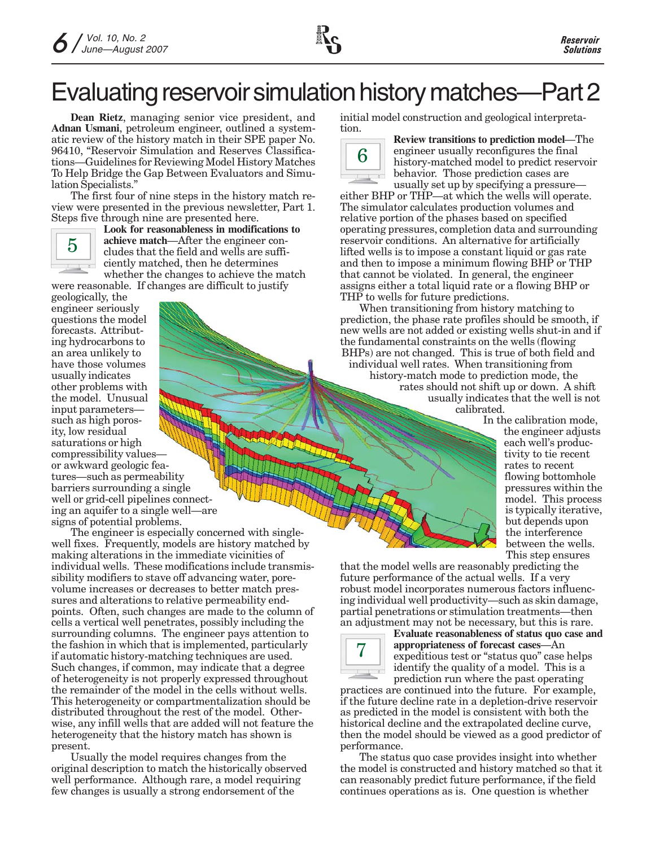

# Evaluating reservoir simulation history matches—Part 2

**Dean Rietz**, managing senior vice president, and **Adnan Usmani**, petroleum engineer, outlined a systematic review of the history match in their SPE paper No. 96410, "Reservoir Simulation and Reserves Classifications—Guidelines for Reviewing Model History Matches To Help Bridge the Gap Between Evaluators and Simulation Specialists."

The first four of nine steps in the history match review were presented in the previous newsletter, Part 1. Steps five through nine are presented here.



**Look for reasonableness in modifications to achieve match**—After the engineer concludes that the field and wells are sufficiently matched, then he determines whether the changes to achieve the match were reasonable. If changes are difficult to justify

geologically, the engineer seriously questions the model forecasts. Attributing hydrocarbons to an area unlikely to have those volumes usually indicates other problems with the model. Unusual input parameters such as high porosity, low residual saturations or high compressibility values or awkward geologic features—such as permeability barriers surrounding a single well or grid-cell pipelines connecting an aquifer to a single well—are signs of potential problems.

The engineer is especially concerned with singlewell fixes. Frequently, models are history matched by making alterations in the immediate vicinities of individual wells. These modifications include transmissibility modifiers to stave off advancing water, porevolume increases or decreases to better match pressures and alterations to relative permeability endpoints. Often, such changes are made to the column of cells a vertical well penetrates, possibly including the surrounding columns. The engineer pays attention to the fashion in which that is implemented, particularly if automatic history-matching techniques are used. Such changes, if common, may indicate that a degree of heterogeneity is not properly expressed throughout the remainder of the model in the cells without wells. This heterogeneity or compartmentalization should be distributed throughout the rest of the model. Otherwise, any infill wells that are added will not feature the heterogeneity that the history match has shown is present.

Usually the model requires changes from the original description to match the historically observed well performance. Although rare, a model requiring few changes is usually a strong endorsement of the

initial model construction and geological interpretation.



**Review transitions to prediction model**—The engineer usually reconfigures the final history-matched model to predict reservoir behavior. Those prediction cases are usually set up by specifying a pressure—

either BHP or THP—at which the wells will operate. The simulator calculates production volumes and relative portion of the phases based on specified operating pressures, completion data and surrounding reservoir conditions. An alternative for artificially lifted wells is to impose a constant liquid or gas rate and then to impose a minimum flowing BHP or THP that cannot be violated. In general, the engineer assigns either a total liquid rate or a flowing BHP or THP to wells for future predictions.

When transitioning from history matching to prediction, the phase rate profiles should be smooth, if new wells are not added or existing wells shut-in and if the fundamental constraints on the wells (flowing BHPs) are not changed. This is true of both field and individual well rates. When transitioning from history-match mode to prediction mode, the rates should not shift up or down. A shift usually indicates that the well is not calibrated.

In the calibration mode, the engineer adjusts each well's productivity to tie recent rates to recent flowing bottomhole pressures within the model. This process is typically iterative, but depends upon the interference between the wells. This step ensures

that the model wells are reasonably predicting the future performance of the actual wells. If a very robust model incorporates numerous factors influencing individual well productivity—such as skin damage, partial penetrations or stimulation treatments—then an adjustment may not be necessary, but this is rare.



**Evaluate reasonableness of status quo case and appropriateness of forecast cases**—An expeditious test or "status quo" case helps identify the quality of a model. This is a prediction run where the past operating

practices are continued into the future. For example, if the future decline rate in a depletion-drive reservoir as predicted in the model is consistent with both the historical decline and the extrapolated decline curve, then the model should be viewed as a good predictor of performance.

The status quo case provides insight into whether the model is constructed and history matched so that it can reasonably predict future performance, if the field continues operations as is. One question is whether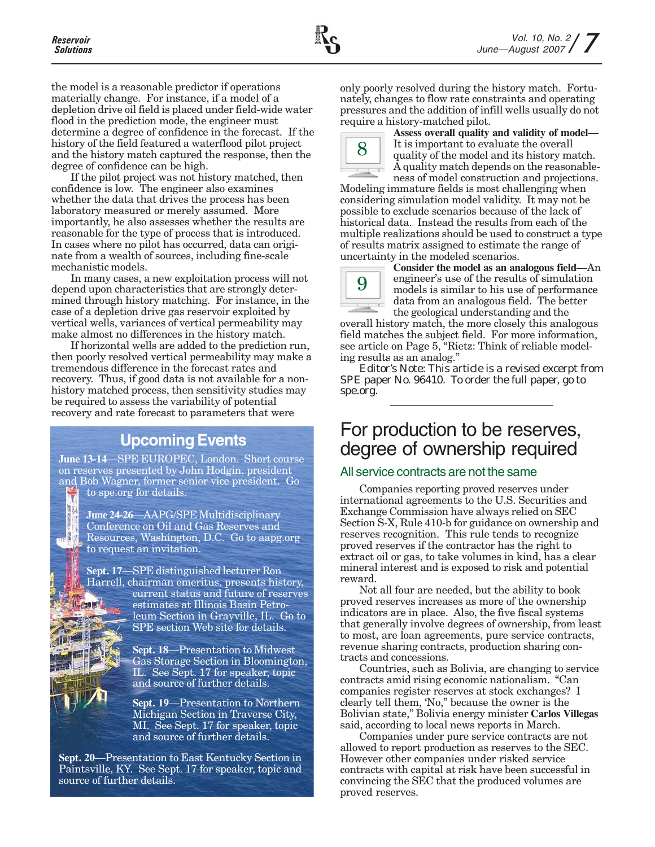the model is a reasonable predictor if operations materially change. For instance, if a model of a depletion drive oil field is placed under field-wide water flood in the prediction mode, the engineer must determine a degree of confidence in the forecast. If the history of the field featured a waterflood pilot project and the history match captured the response, then the degree of confidence can be high.

If the pilot project was not history matched, then confidence is low. The engineer also examines whether the data that drives the process has been laboratory measured or merely assumed. More importantly, he also assesses whether the results are reasonable for the type of process that is introduced. In cases where no pilot has occurred, data can originate from a wealth of sources, including fine-scale mechanistic models.

In many cases, a new exploitation process will not depend upon characteristics that are strongly determined through history matching. For instance, in the case of a depletion drive gas reservoir exploited by vertical wells, variances of vertical permeability may make almost no differences in the history match.

If horizontal wells are added to the prediction run, then poorly resolved vertical permeability may make a tremendous difference in the forecast rates and recovery. Thus, if good data is not available for a nonhistory matched process, then sensitivity studies may be required to assess the variability of potential recovery and rate forecast to parameters that were

### **Upcoming Events**

**June 13-14**—SPE EUROPEC, London. Short course on reserves presented by John Hodgin, president and Bob Wagner, former senior vice president. Go to spe.org for details. V

> **June 24-26**—AAPG/SPE Multidisciplinary Conference on Oil and Gas Reserves and Resources, Washington, D.C. Go to aapg.org to request an invitation.

**Sept. 17**—SPE distinguished lecturer Ron Harrell, chairman emeritus, presents history, current status and future of reserves estimates at Illinois Basin Petroleum Section in Grayville, IL. Go to SPE section Web site for details.

> **Sept. 18**—Presentation to Midwest Gas Storage Section in Bloomington, IL. See Sept. 17 for speaker, topic and source of further details.

**Sept. 19**—Presentation to Northern Michigan Section in Traverse City, MI. See Sept. 17 for speaker, topic and source of further details.

**Sept. 20**—Presentation to East Kentucky Section in Paintsville, KY. See Sept. 17 for speaker, topic and source of further details.

only poorly resolved during the history match. Fortunately, changes to flow rate constraints and operating pressures and the addition of infill wells usually do not require a history-matched pilot.



**Assess overall quality and validity of model**— It is important to evaluate the overall quality of the model and its history match. A quality match depends on the reasonableness of model construction and projections.

Modeling immature fields is most challenging when considering simulation model validity. It may not be possible to exclude scenarios because of the lack of historical data. Instead the results from each of the multiple realizations should be used to construct a type of results matrix assigned to estimate the range of uncertainty in the modeled scenarios.



**Consider the model as an analogous field**—An engineer's use of the results of simulation models is similar to his use of performance data from an analogous field. The better the geological understanding and the

overall history match, the more closely this analogous field matches the subject field. For more information, see article on Page 5, "Rietz: Think of reliable modeling results as an analog."

*Editor's Note: This article is a revised excerpt from SPE paper No. 96410. To order the full paper, go to spe.org.*

### For production to be reserves, degree of ownership required

#### All service contracts are not the same

Companies reporting proved reserves under international agreements to the U.S. Securities and Exchange Commission have always relied on SEC Section S-X, Rule 410-b for guidance on ownership and reserves recognition. This rule tends to recognize proved reserves if the contractor has the right to extract oil or gas, to take volumes in kind, has a clear mineral interest and is exposed to risk and potential reward.

Not all four are needed, but the ability to book proved reserves increases as more of the ownership indicators are in place. Also, the five fiscal systems that generally involve degrees of ownership, from least to most, are loan agreements, pure service contracts, revenue sharing contracts, production sharing contracts and concessions.

Countries, such as Bolivia, are changing to service contracts amid rising economic nationalism. "Can companies register reserves at stock exchanges? I clearly tell them, 'No," because the owner is the Bolivian state," Bolivia energy minister **Carlos Villegas** said, according to local news reports in March.

Companies under pure service contracts are not allowed to report production as reserves to the SEC. However other companies under risked service contracts with capital at risk have been successful in convincing the SEC that the produced volumes are proved reserves.